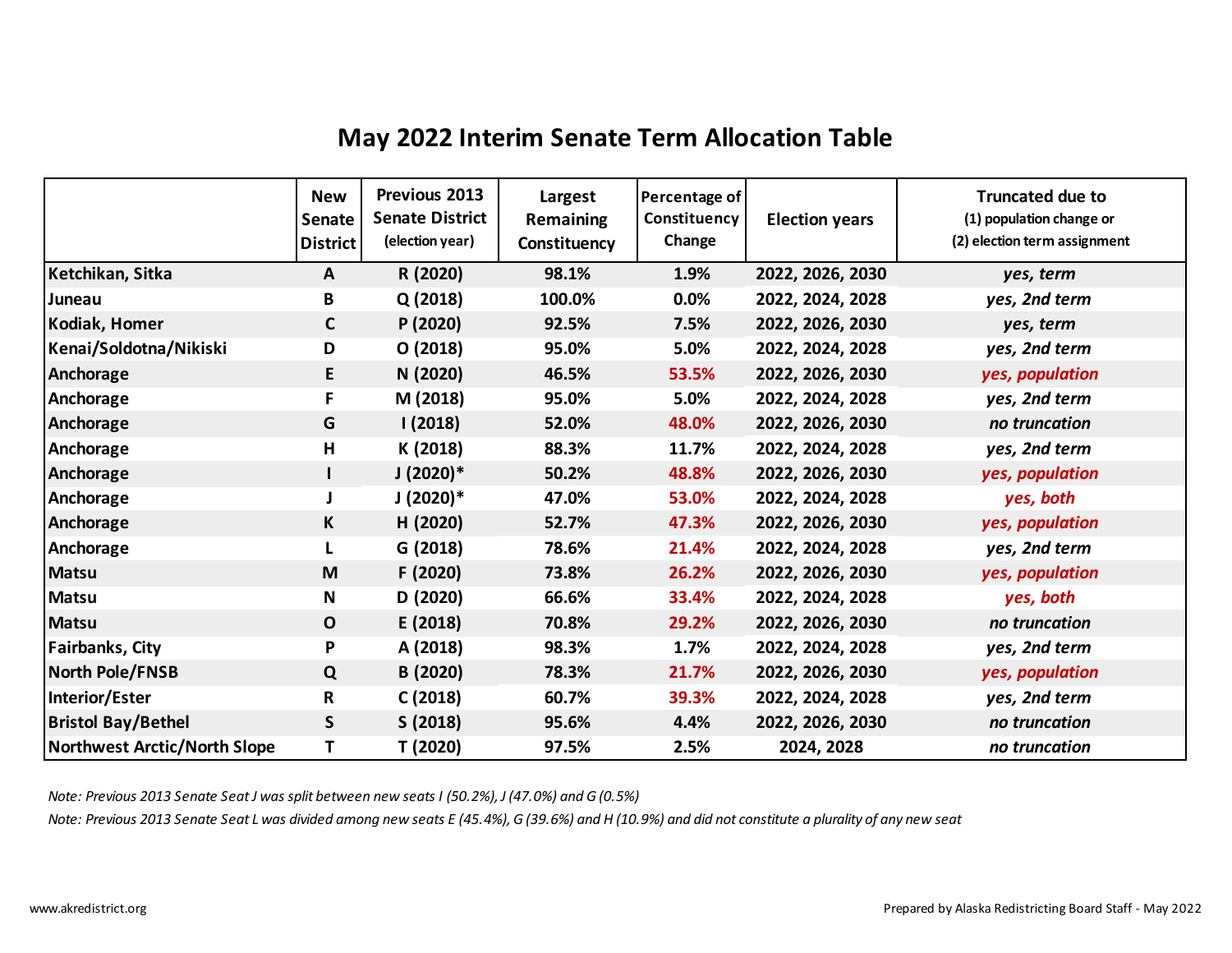## **May 2022 Interim Senate Term Allocation Table**

|                              | <b>New</b><br>Senate<br><b>District</b> | Previous 2013<br><b>Senate District</b><br>(election year) | Largest<br><b>Remaining</b><br>Constituency | Percentage of<br>Constituency<br>Change | <b>Election years</b> | <b>Truncated due to</b><br>(1) population change or<br>(2) election term assignment |
|------------------------------|-----------------------------------------|------------------------------------------------------------|---------------------------------------------|-----------------------------------------|-----------------------|-------------------------------------------------------------------------------------|
| Ketchikan, Sitka             | $\mathsf{A}$                            | R (2020)                                                   | 98.1%                                       | 1.9%                                    | 2022, 2026, 2030      | yes, term                                                                           |
| Juneau                       | B                                       | Q(2018)                                                    | 100.0%                                      | $0.0\%$                                 | 2022, 2024, 2028      | yes, 2nd term                                                                       |
| Kodiak, Homer                | C                                       | P (2020)                                                   | 92.5%                                       | 7.5%                                    | 2022, 2026, 2030      | yes, term                                                                           |
| Kenai/Soldotna/Nikiski       | D                                       | O(2018)                                                    | 95.0%                                       | 5.0%                                    | 2022, 2024, 2028      | yes, 2nd term                                                                       |
| Anchorage                    | E                                       | N (2020)                                                   | 46.5%                                       | 53.5%                                   | 2022, 2026, 2030      | yes, population                                                                     |
| Anchorage                    | F                                       | M (2018)                                                   | 95.0%                                       | 5.0%                                    | 2022, 2024, 2028      | yes, 2nd term                                                                       |
| Anchorage                    | G                                       | 1(2018)                                                    | 52.0%                                       | 48.0%                                   | 2022, 2026, 2030      | no truncation                                                                       |
| Anchorage                    | Н                                       | K (2018)                                                   | 88.3%                                       | 11.7%                                   | 2022, 2024, 2028      | yes, 2nd term                                                                       |
| Anchorage                    |                                         | $J(2020)*$                                                 | 50.2%                                       | 48.8%                                   | 2022, 2026, 2030      | yes, population                                                                     |
| Anchorage                    |                                         | $J(2020)*$                                                 | 47.0%                                       | 53.0%                                   | 2022, 2024, 2028      | yes, both                                                                           |
| Anchorage                    | К                                       | H (2020)                                                   | 52.7%                                       | 47.3%                                   | 2022, 2026, 2030      | yes, population                                                                     |
| Anchorage                    | L                                       | G (2018)                                                   | 78.6%                                       | 21.4%                                   | 2022, 2024, 2028      | yes, 2nd term                                                                       |
| <b>Matsu</b>                 | M                                       | F (2020)                                                   | 73.8%                                       | 26.2%                                   | 2022, 2026, 2030      | yes, population                                                                     |
| <b>Matsu</b>                 | N                                       | D (2020)                                                   | 66.6%                                       | 33.4%                                   | 2022, 2024, 2028      | yes, both                                                                           |
| <b>Matsu</b>                 | $\mathbf{O}$                            | E (2018)                                                   | 70.8%                                       | 29.2%                                   | 2022, 2026, 2030      | no truncation                                                                       |
| <b>Fairbanks, City</b>       | P                                       | A (2018)                                                   | 98.3%                                       | 1.7%                                    | 2022, 2024, 2028      | yes, 2nd term                                                                       |
| North Pole/FNSB              | Q                                       | B (2020)                                                   | 78.3%                                       | 21.7%                                   | 2022, 2026, 2030      | yes, population                                                                     |
| Interior/Ester               | R                                       | C(2018)                                                    | 60.7%                                       | 39.3%                                   | 2022, 2024, 2028      | yes, 2nd term                                                                       |
| <b>Bristol Bay/Bethel</b>    | S                                       | S(2018)                                                    | 95.6%                                       | 4.4%                                    | 2022, 2026, 2030      | no truncation                                                                       |
| Northwest Arctic/North Slope | T                                       | T (2020)                                                   | 97.5%                                       | 2.5%                                    | 2024, 2028            | no truncation                                                                       |

*Note: Previous 2013 Senate Seat J was split between new seats I (50.2%), J (47.0%) and G (0.5%)*

*Note: Previous 2013 Senate Seat L was divided among new seats E (45.4%), G (39.6%) and H (10.9%) and did not constitute a plurality of any new seat*